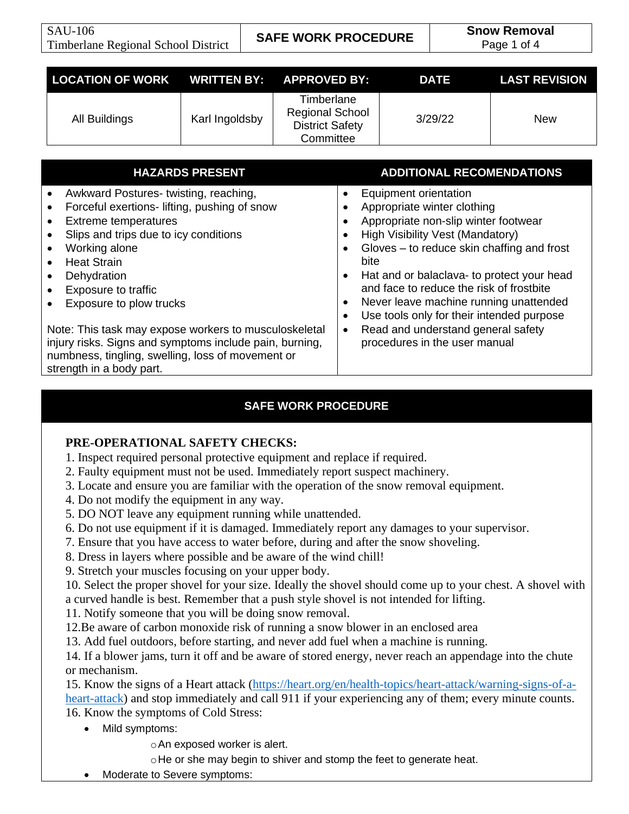| LOCATION OF WORK WRITTEN BY: APPROVED BY: |                |                                                                             | <b>DATE</b> | <b>LAST REVISION</b> |
|-------------------------------------------|----------------|-----------------------------------------------------------------------------|-------------|----------------------|
| All Buildings                             | Karl Ingoldsby | Timberlane<br><b>Regional School</b><br><b>District Safety</b><br>Committee | 3/29/22     | <b>New</b>           |

| <b>HAZARDS PRESENT</b>                                                                                                                                                                                                                                                                                                                                                                           | <b>ADDITIONAL RECOMENDATIONS</b>                                                                                                                                                                                                                                                                                                                                               |
|--------------------------------------------------------------------------------------------------------------------------------------------------------------------------------------------------------------------------------------------------------------------------------------------------------------------------------------------------------------------------------------------------|--------------------------------------------------------------------------------------------------------------------------------------------------------------------------------------------------------------------------------------------------------------------------------------------------------------------------------------------------------------------------------|
| Awkward Postures-twisting, reaching,<br>$\bullet$<br>Forceful exertions- lifting, pushing of snow<br>$\bullet$<br><b>Extreme temperatures</b><br>$\bullet$<br>Slips and trips due to icy conditions<br>$\bullet$<br>Working alone<br>$\bullet$<br><b>Heat Strain</b><br>$\bullet$<br>Dehydration<br>$\bullet$<br><b>Exposure to traffic</b><br>$\bullet$<br>Exposure to plow trucks<br>$\bullet$ | Equipment orientation<br>Appropriate winter clothing<br>Appropriate non-slip winter footwear<br><b>High Visibility Vest (Mandatory)</b><br>Gloves – to reduce skin chaffing and frost<br>bite<br>Hat and or balaclava- to protect your head<br>and face to reduce the risk of frostbite<br>Never leave machine running unattended<br>Use tools only for their intended purpose |
| Note: This task may expose workers to musculoskeletal<br>injury risks. Signs and symptoms include pain, burning,<br>numbness, tingling, swelling, loss of movement or<br>strength in a body part.                                                                                                                                                                                                | Read and understand general safety<br>procedures in the user manual                                                                                                                                                                                                                                                                                                            |

# **SAFE WORK PROCEDURE**

## **PRE-OPERATIONAL SAFETY CHECKS:**

- 1. Inspect required personal protective equipment and replace if required.
- 2. Faulty equipment must not be used. Immediately report suspect machinery.
- 3. Locate and ensure you are familiar with the operation of the snow removal equipment.
- 4. Do not modify the equipment in any way.
- 5. DO NOT leave any equipment running while unattended.
- 6. Do not use equipment if it is damaged. Immediately report any damages to your supervisor.
- 7. Ensure that you have access to water before, during and after the snow shoveling.
- 8. Dress in layers where possible and be aware of the wind chill!
- 9. Stretch your muscles focusing on your upper body.

10. Select the proper shovel for your size. Ideally the shovel should come up to your chest. A shovel with a curved handle is best. Remember that a push style shovel is not intended for lifting.

11. Notify someone that you will be doing snow removal.

12.Be aware of carbon monoxide risk of running a snow blower in an enclosed area

13. Add fuel outdoors, before starting, and never add fuel when a machine is running.

14. If a blower jams, turn it off and be aware of stored energy, never reach an appendage into the chute or mechanism.

15. Know the signs of a Heart attack [\(https://heart.org/en/health-topics/heart-attack/warning-signs-of-a](https://heart.org/en/health-topics/heart-attack/warning-signs-of-a-heart-attack)[heart-attack\)](https://heart.org/en/health-topics/heart-attack/warning-signs-of-a-heart-attack) and stop immediately and call 911 if your experiencing any of them; every minute counts. 16. Know the symptoms of Cold Stress:

- Mild symptoms:
	- oAn exposed worker is alert.
	- oHe or she may begin to shiver and stomp the feet to generate heat.
- Moderate to Severe symptoms: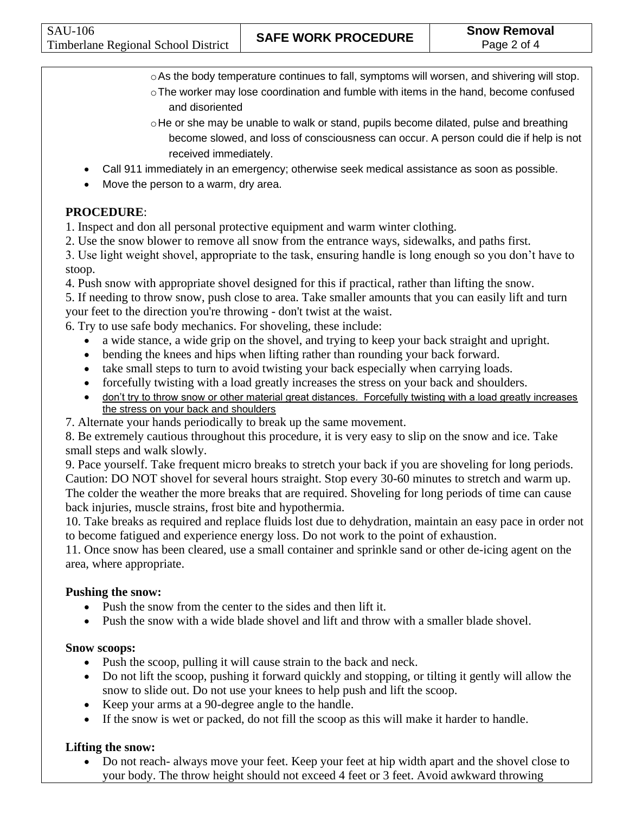- oAs the body temperature continues to fall, symptoms will worsen, and shivering will stop.  $\circ$ The worker may lose coordination and fumble with items in the hand, become confused
- and disoriented
- $\circ$ He or she may be unable to walk or stand, pupils become dilated, pulse and breathing become slowed, and loss of consciousness can occur. A person could die if help is not received immediately.
- Call 911 immediately in an emergency; otherwise seek medical assistance as soon as possible.
- Move the person to a warm, dry area.

# **PROCEDURE**:

1. Inspect and don all personal protective equipment and warm winter clothing.

2. Use the snow blower to remove all snow from the entrance ways, sidewalks, and paths first.

3. Use light weight shovel, appropriate to the task, ensuring handle is long enough so you don't have to stoop.

4. Push snow with appropriate shovel designed for this if practical, rather than lifting the snow.

5. If needing to throw snow, push close to area. Take smaller amounts that you can easily lift and turn your feet to the direction you're throwing - don't twist at the waist.

6. Try to use safe body mechanics. For shoveling, these include:

- a wide stance, a wide grip on the shovel, and trying to keep your back straight and upright.
- bending the knees and hips when lifting rather than rounding your back forward.
- take small steps to turn to avoid twisting your back especially when carrying loads.
- forcefully twisting with a load greatly increases the stress on your back and shoulders.
- don't try to throw snow or other material great distances. Forcefully twisting with a load greatly increases the stress on your back and shoulders
- 7. Alternate your hands periodically to break up the same movement.

8. Be extremely cautious throughout this procedure, it is very easy to slip on the snow and ice. Take small steps and walk slowly.

9. Pace yourself. Take frequent micro breaks to stretch your back if you are shoveling for long periods. Caution: DO NOT shovel for several hours straight. Stop every 30-60 minutes to stretch and warm up. The colder the weather the more breaks that are required. Shoveling for long periods of time can cause back injuries, muscle strains, frost bite and hypothermia.

10. Take breaks as required and replace fluids lost due to dehydration, maintain an easy pace in order not to become fatigued and experience energy loss. Do not work to the point of exhaustion.

11. Once snow has been cleared, use a small container and sprinkle sand or other de-icing agent on the area, where appropriate.

# **Pushing the snow:**

- Push the snow from the center to the sides and then lift it.
- Push the snow with a wide blade shovel and lift and throw with a smaller blade shovel.

# **Snow scoops:**

- Push the scoop, pulling it will cause strain to the back and neck.
- Do not lift the scoop, pushing it forward quickly and stopping, or tilting it gently will allow the snow to slide out. Do not use your knees to help push and lift the scoop.
- Keep your arms at a 90-degree angle to the handle.
- If the snow is wet or packed, do not fill the scoop as this will make it harder to handle.

# **Lifting the snow:**

• Do not reach- always move your feet. Keep your feet at hip width apart and the shovel close to your body. The throw height should not exceed 4 feet or 3 feet. Avoid awkward throwing